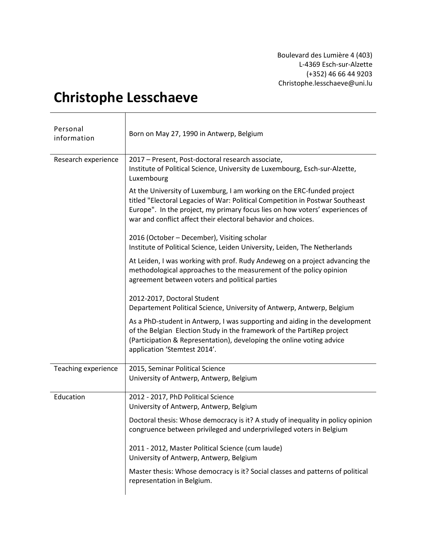Boulevard des Lumière 4 (403) L-4369 Esch-sur-Alzette (+352) 46 66 44 9203 Christophe.lesschaeve@uni.lu

## **Christophe Lesschaeve**

| Personal<br>information | Born on May 27, 1990 in Antwerp, Belgium                                                                                                                                                                                                                                                                 |
|-------------------------|----------------------------------------------------------------------------------------------------------------------------------------------------------------------------------------------------------------------------------------------------------------------------------------------------------|
| Research experience     | 2017 - Present, Post-doctoral research associate,<br>Institute of Political Science, University de Luxembourg, Esch-sur-Alzette,<br>Luxembourg                                                                                                                                                           |
|                         | At the University of Luxemburg, I am working on the ERC-funded project<br>titled "Electoral Legacies of War: Political Competition in Postwar Southeast<br>Europe". In the project, my primary focus lies on how voters' experiences of<br>war and conflict affect their electoral behavior and choices. |
|                         | 2016 (October - December), Visiting scholar<br>Institute of Political Science, Leiden University, Leiden, The Netherlands                                                                                                                                                                                |
|                         | At Leiden, I was working with prof. Rudy Andeweg on a project advancing the<br>methodological approaches to the measurement of the policy opinion<br>agreement between voters and political parties                                                                                                      |
|                         | 2012-2017, Doctoral Student<br>Departement Political Science, University of Antwerp, Antwerp, Belgium                                                                                                                                                                                                    |
|                         | As a PhD-student in Antwerp, I was supporting and aiding in the development<br>of the Belgian Election Study in the framework of the PartiRep project<br>(Participation & Representation), developing the online voting advice<br>application 'Stemtest 2014'.                                           |
| Teaching experience     | 2015, Seminar Political Science<br>University of Antwerp, Antwerp, Belgium                                                                                                                                                                                                                               |
| Education               | 2012 - 2017, PhD Political Science<br>University of Antwerp, Antwerp, Belgium                                                                                                                                                                                                                            |
|                         | Doctoral thesis: Whose democracy is it? A study of inequality in policy opinion<br>congruence between privileged and underprivileged voters in Belgium                                                                                                                                                   |
|                         | 2011 - 2012, Master Political Science (cum laude)<br>University of Antwerp, Antwerp, Belgium                                                                                                                                                                                                             |
|                         | Master thesis: Whose democracy is it? Social classes and patterns of political<br>representation in Belgium.                                                                                                                                                                                             |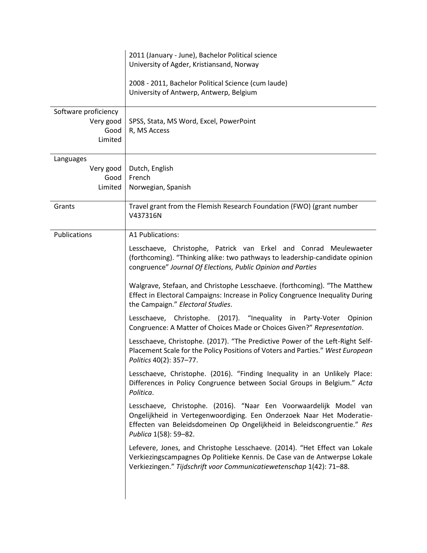| 2011 (January - June), Bachelor Political science<br>University of Agder, Kristiansand, Norway                                                                                                                                                                                                                                                                                                                                                                                                                                                                                                                                                                                                                                                                                                                                                                                                                                                                                                                                                                                                                                                                                                                                                                                                                                                                                                                                                          |
|---------------------------------------------------------------------------------------------------------------------------------------------------------------------------------------------------------------------------------------------------------------------------------------------------------------------------------------------------------------------------------------------------------------------------------------------------------------------------------------------------------------------------------------------------------------------------------------------------------------------------------------------------------------------------------------------------------------------------------------------------------------------------------------------------------------------------------------------------------------------------------------------------------------------------------------------------------------------------------------------------------------------------------------------------------------------------------------------------------------------------------------------------------------------------------------------------------------------------------------------------------------------------------------------------------------------------------------------------------------------------------------------------------------------------------------------------------|
| 2008 - 2011, Bachelor Political Science (cum laude)<br>University of Antwerp, Antwerp, Belgium                                                                                                                                                                                                                                                                                                                                                                                                                                                                                                                                                                                                                                                                                                                                                                                                                                                                                                                                                                                                                                                                                                                                                                                                                                                                                                                                                          |
| SPSS, Stata, MS Word, Excel, PowerPoint<br>R, MS Access                                                                                                                                                                                                                                                                                                                                                                                                                                                                                                                                                                                                                                                                                                                                                                                                                                                                                                                                                                                                                                                                                                                                                                                                                                                                                                                                                                                                 |
| Dutch, English<br>French<br>Norwegian, Spanish                                                                                                                                                                                                                                                                                                                                                                                                                                                                                                                                                                                                                                                                                                                                                                                                                                                                                                                                                                                                                                                                                                                                                                                                                                                                                                                                                                                                          |
| Travel grant from the Flemish Research Foundation (FWO) (grant number<br>V437316N                                                                                                                                                                                                                                                                                                                                                                                                                                                                                                                                                                                                                                                                                                                                                                                                                                                                                                                                                                                                                                                                                                                                                                                                                                                                                                                                                                       |
| A1 Publications:<br>Lesschaeve, Christophe, Patrick van Erkel and Conrad Meulewaeter<br>(forthcoming). "Thinking alike: two pathways to leadership-candidate opinion<br>congruence" Journal Of Elections, Public Opinion and Parties<br>Walgrave, Stefaan, and Christophe Lesschaeve. (forthcoming). "The Matthew<br>Effect in Electoral Campaigns: Increase in Policy Congruence Inequality During<br>the Campaign." Electoral Studies.<br>Lesschaeve, Christophe. (2017). "Inequality in Party-Voter<br>Opinion<br>Congruence: A Matter of Choices Made or Choices Given?" Representation.<br>Lesschaeve, Christophe. (2017). "The Predictive Power of the Left-Right Self-<br>Placement Scale for the Policy Positions of Voters and Parties." West European<br>Politics 40(2): 357-77.<br>Lesschaeve, Christophe. (2016). "Finding Inequality in an Unlikely Place:<br>Differences in Policy Congruence between Social Groups in Belgium." Acta<br>Politica.<br>Lesschaeve, Christophe. (2016). "Naar Een Voorwaardelijk Model van<br>Ongelijkheid in Vertegenwoordiging. Een Onderzoek Naar Het Moderatie-<br>Effecten van Beleidsdomeinen Op Ongelijkheid in Beleidscongruentie." Res<br>Publica 1(58): 59-82.<br>Lefevere, Jones, and Christophe Lesschaeve. (2014). "Het Effect van Lokale<br>Verkiezingscampagnes Op Politieke Kennis. De Case van de Antwerpse Lokale<br>Verkiezingen." Tijdschrift voor Communicatiewetenschap 1(42): 71-88. |
|                                                                                                                                                                                                                                                                                                                                                                                                                                                                                                                                                                                                                                                                                                                                                                                                                                                                                                                                                                                                                                                                                                                                                                                                                                                                                                                                                                                                                                                         |